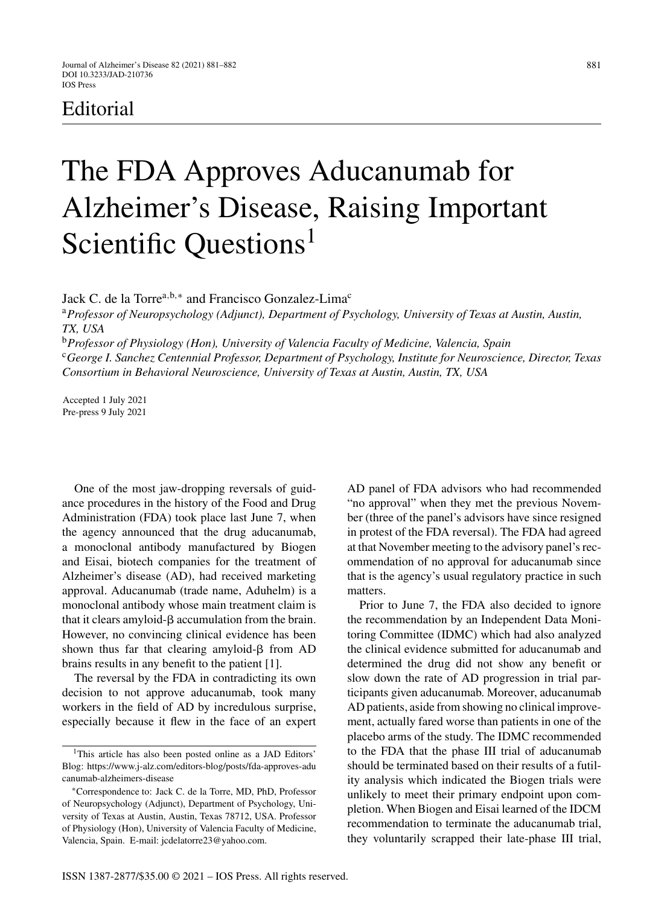# Editorial

# The FDA Approves Aducanumab for Alzheimer's Disease, Raising Important Scientific Questions<sup>1</sup>

Jack C. de la Torre<sup>a,b,\*</sup> and Francisco Gonzalez-Lima<sup>c</sup>

<sup>a</sup>*Professor of Neuropsychology (Adjunct), Department of Psychology, University of Texas at Austin, Austin, TX, USA*

<sup>b</sup>*Professor of Physiology (Hon), University of Valencia Faculty of Medicine, Valencia, Spain* <sup>c</sup>*George I. Sanchez Centennial Professor, Department of Psychology, Institute for Neuroscience, Director, Texas Consortium in Behavioral Neuroscience, University of Texas at Austin, Austin, TX, USA*

Accepted 1 July 2021 Pre-press 9 July 2021

One of the most jaw-dropping reversals of guidance procedures in the history of the Food and Drug Administration (FDA) took place last June 7, when the agency announced that the drug aducanumab, a monoclonal antibody manufactured by Biogen and Eisai, biotech companies for the treatment of Alzheimer's disease (AD), had received marketing approval. Aducanumab (trade name, Aduhelm) is a monoclonal antibody whose main treatment claim is that it clears amyloid- $\beta$  accumulation from the brain. However, no convincing clinical evidence has been shown thus far that clearing amyloid- $\beta$  from AD brains results in any benefit to the patient [1].

The reversal by the FDA in contradicting its own decision to not approve aducanumab, took many workers in the field of AD by incredulous surprise, especially because it flew in the face of an expert AD panel of FDA advisors who had recommended "no approval" when they met the previous November (three of the panel's advisors have since resigned in protest of the FDA reversal). The FDA had agreed at that November meeting to the advisory panel's recommendation of no approval for aducanumab since that is the agency's usual regulatory practice in such matters.

Prior to June 7, the FDA also decided to ignore the recommendation by an Independent Data Monitoring Committee (IDMC) which had also analyzed the clinical evidence submitted for aducanumab and determined the drug did not show any benefit or slow down the rate of AD progression in trial participants given aducanumab. Moreover, aducanumab AD patients, aside from showing no clinical improvement, actually fared worse than patients in one of the placebo arms of the study. The IDMC recommended to the FDA that the phase III trial of aducanumab should be terminated based on their results of a futility analysis which indicated the Biogen trials were unlikely to meet their primary endpoint upon completion. When Biogen and Eisai learned of the IDCM recommendation to terminate the aducanumab trial, they voluntarily scrapped their late-phase III trial,

<sup>&</sup>lt;sup>1</sup>This article has also been posted online as a JAD Editors' Blog: [https://www.j-alz.com/editors-blog/posts/fda-approves-adu](https://www.j-alz.com/editors-blog/posts/fda-approves-aducanumab-alzheimers-disease) canumab-alzheimers-disease

<sup>∗</sup>Correspondence to: Jack C. de la Torre, MD, PhD, Professor of Neuropsychology (Adjunct), Department of Psychology, University of Texas at Austin, Austin, Texas 78712, USA. Professor of Physiology (Hon), University of Valencia Faculty of Medicine, Valencia, Spain. E-mail: [jcdelatorre23@yahoo.com](mailto:jcdelatorre23@yahoo.com).